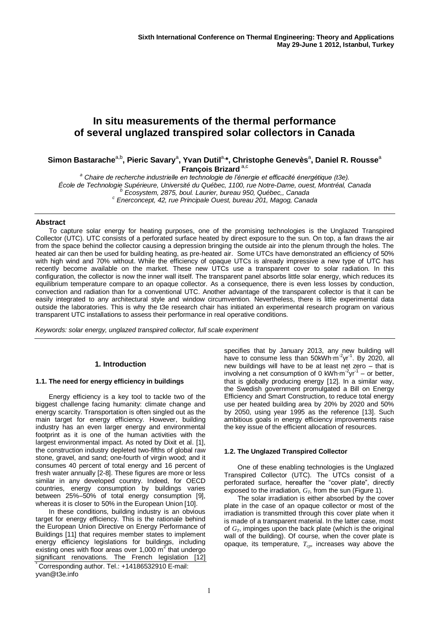# **In situ measurements of the thermal performance of several unglazed transpired solar collectors in Canada**

# $S$ imon Bastarache<sup>a,b</sup>, Pieric Savary<sup>a</sup>, Yvan Dutil<sup>a,</sup>\*, Christophe Genevès<sup>a</sup>, Daniel R. Rousse<sup>a</sup> **François Brizard** a,c

*<sup>a</sup> Chaire de recherche industrielle en technologie de l'énergie et efficacité énergétique (t3e). École de Technologie Supérieure, Université du Québec, 1100, rue Notre-Dame, ouest, Montréal, Canada <sup>b</sup> Ecosystem, 2875, boul. Laurier, bureau 950, Québec,, Canada <sup>c</sup> Enerconcept, 42, rue Principale Ouest, bureau 201, Magog, Canada*

## **Abstract**

To capture solar energy for heating purposes, one of the promising technologies is the Unglazed Transpired Collector (UTC). UTC consists of a perforated surface heated by direct exposure to the sun. On top, a fan draws the air from the space behind the collector causing a depression bringing the outside air into the plenum through the holes. The heated air can then be used for building heating, as pre-heated air. Some UTCs have demonstrated an efficiency of 50% with high wind and 70% without. While the efficiency of opaque UTCs is already impressive a new type of UTC has recently become available on the market. These new UTCs use a transparent cover to solar radiation. In this configuration, the collector is now the inner wall itself. The transparent panel absorbs little solar energy, which reduces its equilibrium temperature compare to an opaque collector. As a consequence, there is even less losses by conduction, convection and radiation than for a conventional UTC. Another advantage of the transparent collector is that it can be easily integrated to any architectural style and window circumvention. Nevertheless, there is little experimental data outside the laboratories. This is why the t3e research chair has initiated an experimental research program on various transparent UTC installations to assess their performance in real operative conditions.

*Keywords: solar energy, unglazed transpired collector, full scale experiment*

## **1. Introduction**

## **1.1. The need for energy efficiency in buildings**

Energy efficiency is a key tool to tackle two of the biggest challenge facing humanity: climate change and energy scarcity. Transportation is often singled out as the main target for energy efficiency. However, building industry has an even larger energy and environmental footprint as it is one of the human activities with the largest environmental impact. As noted by Dixit et al. [1], the construction industry depleted two-fifths of global raw stone, gravel, and sand; one-fourth of virgin wood; and it consumes 40 percent of total energy and 16 percent of fresh water annually [2-8]. These figures are more or less similar in any developed country. Indeed, for OECD countries, energy consumption by buildings varies between 25%–50% of total energy consumption [9], whereas it is closer to 50% in the European Union [10].

In these conditions, building industry is an obvious target for energy efficiency. This is the rationale behind the European Union Directive on Energy Performance of Buildings [11] that requires member states to implement energy efficiency legislations for buildings, including existing ones with floor areas over 1,000  $m^2$  that undergo significant renovations. The French legislation [12]

Corresponding author. Tel.: +14186532910 E-mail: yvan@t3e.info

specifies that by January 2013, any new building will have to consume less than 50kWh⋅m<sup>-2</sup>yr<sup>-1</sup>. By 2020, all new buildings will have to be at least net zero – that is involving a net consumption of 0 kWh⋅m<sup>-2</sup>yr<sup>-1</sup> – or better, that is globally producing energy [12]. In a similar way, the Swedish government promulgated a Bill on Energy Efficiency and Smart Construction, to reduce total energy use per heated building area by 20% by 2020 and 50% by 2050, using year 1995 as the reference [13]. Such ambitious goals in energy efficiency improvements raise the key issue of the efficient allocation of resources.

## **1.2. The Unglazed Transpired Collector**

One of these enabling technologies is the Unglazed Transpired Collector (UTC). The UTCs consist of a perforated surface, hereafter the "cover plate", directly exposed to the irradiation, *GT*, from the sun (Figure 1).

The solar irradiation is either absorbed by the cover plate in the case of an opaque collector or most of the irradiation is transmitted through this cover plate when it is made of a transparent material. In the latter case, most of *GT*, impinges upon the back plate (which is the original wall of the building). Of course, when the cover plate is opaque, its temperature, *Tcp*, increases way above the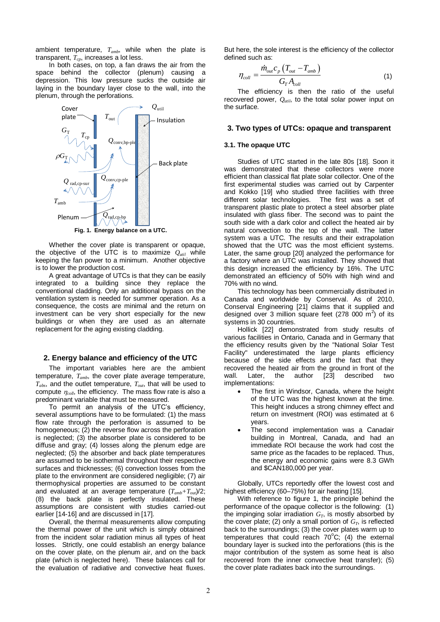ambient temperature, *Tamb*, while when the plate is transparent, *Tcp*, increases a lot less.

In both cases, on top, a fan draws the air from the space behind the collector (plenum) causing a depression. This low pressure sucks the outside air laying in the boundary layer close to the wall, into the plenum, through the perforations.



**Fig. 1. Energy balance on a UTC.**

Whether the cover plate is transparent or opaque, the objective of the UTC is to maximize  $Q_{util}$  while keeping the fan power to a minimum. Another objective is to lower the production cost.

A great advantage of UTCs is that they can be easily integrated to a building since they replace the conventional cladding. Only an additional bypass on the ventilation system is needed for summer operation. As a consequence, the costs are minimal and the return on investment can be very short especially for the new buildings or when they are used as an alternate replacement for the aging existing cladding.

#### **2. Energy balance and efficiency of the UTC**

The important variables here are the ambient temperature, *Tamb*, the cover plate average temperature, *Tabs*, and the outlet temperature, *Tout*, that will be used to compute  $\eta_{coll}$ , the efficiency. The mass flow rate is also a predominant variable that must be measured.

To permit an analysis of the UTC's efficiency, several assumptions have to be formulated: (1) the mass flow rate through the perforation is assumed to be homogeneous; (2) the reverse flow across the perforation is neglected; (3) the absorber plate is considered to be diffuse and gray; (4) losses along the plenum edge are neglected; (5) the absorber and back plate temperatures are assumed to be isothermal throughout their respective surfaces and thicknesses; (6) convection losses from the plate to the environment are considered negligible; (7) air thermophysical properties are assumed to be constant and evaluated at an average temperature (*Tamb+Tout*)/2; (8) the back plate is perfectly insulated. These assumptions are consistent with studies carried-out earlier [14-16] and are discussed in [17].

Overall, the thermal measurements allow computing the thermal power of the unit which is simply obtained from the incident solar radiation minus all types of heat losses. Strictly, one could establish an energy balance on the cover plate, on the plenum air, and on the back plate (which is neglected here). These balances call for the evaluation of radiative and convective heat fluxes.

But here, the sole interest is the efficiency of the collector defined such as:

$$
\eta_{coll} = \frac{\dot{m}_{out}c_p \left( T_{out} - T_{amb} \right)}{G_T A_{coll}}
$$
\n(1)

The efficiency is then the ratio of the useful recovered power,  $Q_{util}$ , to the total solar power input on the surface.

#### **3. Two types of UTCs: opaque and transparent**

#### **3.1. The opaque UTC**

Studies of UTC started in the late 80s [18]. Soon it was demonstrated that these collectors were more efficient than classical flat plate solar collector. One of the first experimental studies was carried out by Carpenter and Kokko [19] who studied three facilities with three different solar technologies. The first was a set of transparent plastic plate to protect a steel absorber plate insulated with glass fiber. The second was to paint the south side with a dark color and collect the heated air by natural convection to the top of the wall. The latter system was a UTC. The results and their extrapolation showed that the UTC was the most efficient systems. Later, the same group [20] analyzed the performance for a factory where an UTC was installed. They showed that this design increased the efficiency by 16%. The UTC demonstrated an efficiency of 50% with high wind and 70% with no wind.

This technology has been commercially distributed in Canada and worldwide by Conserval. As of 2010, Conserval Engineering [21] claims that it supplied and designed over 3 million square feet (278 000  $\mathrm{m}^2$ ) of its systems in 30 countries.

Hollick [22] demonstrated from study results of various facilities in Ontario, Canada and in Germany that the efficiency results given by the "National Solar Test Facility" underestimated the large plants efficiency because of the side effects and the fact that they recovered the heated air from the ground in front of the wall. Later. the author [23] described two wall. Later, the author [\[23\]](#page-4-0) described two implementations:

- The first in Windsor, Canada, where the height of the UTC was the highest known at the time. This height induces a strong chimney effect and return on investment (ROI) was estimated at 6 years.
- The second implementation was a Canadair building in Montreal, Canada, and had an immediate ROI because the work had cost the same price as the facades to be replaced. Thus, the energy and economic gains were 8.3 GWh and \$CAN180,000 per year.

Globally, UTCs reportedly offer the lowest cost and highest efficiency (60–75%) for air heating [15].

With reference to figure 1, the principle behind the performance of the opaque collector is the following: (1) the impinging solar irradiation  $G_T$ , is mostly absorbed by the cover plate; (2) only a small portion of *GT*, is reflected back to the surroundings; (3) the cover plates warm up to temperatures that could reach  $70^{\circ}$ C; (4) the external boundary layer is sucked into the perforations (this is the major contribution of the system as some heat is also recovered from the inner convective heat transfer); (5) the cover plate radiates back into the surroundings.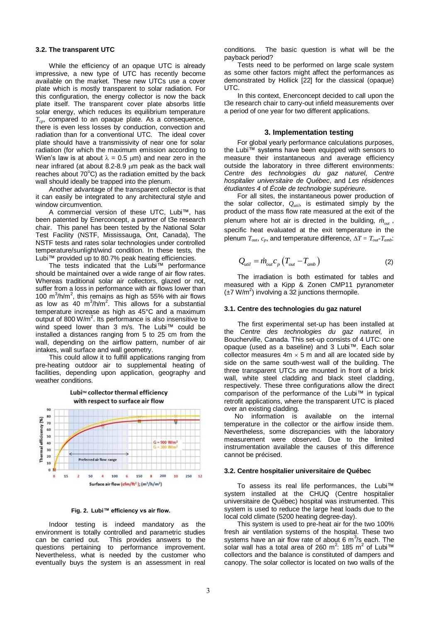#### **3.2. The transparent UTC**

While the efficiency of an opaque UTC is already impressive, a new type of UTC has recently become available on the market. These new UTCs use a cover plate which is mostly transparent to solar radiation. For this configuration, the energy collector is now the back plate itself. The transparent cover plate absorbs little solar energy, which reduces its equilibrium temperature *Tcp*, compared to an opaque plate. As a consequence, there is even less losses by conduction, convection and radiation than for a conventional UTC. The ideal cover plate should have a transmissivity of near one for solar radiation (for which the maximum emission according to Wien's law is at about  $\lambda = 0.5$  µm) and near zero in the near infrared (at about 8.2-8.9 um peak as the back wall reaches about  $70^{\circ}$ C) as the radiation emitted by the back wall should ideally be trapped into the plenum.

Another advantage of the transparent collector is that it can easily be integrated to any architectural style and window circumvention.

A commercial version of these UTC, Lubi™, has been patented by Enerconcept, a partner of t3e research chair. This panel has been tested by the National Solar Test Facility (NSTF, Mississauga, Ont, Canada), The NSTF tests and rates solar technologies under controlled temperature/sunlight/wind condition. In these tests, the Lubi™ provided up to 80.7% peak heating efficiencies.

The tests indicated that the Lubi™ performance should be maintained over a wide range of air flow rates. Whereas traditional solar air collectors, glazed or not, suffer from a loss in performance with air flows lower than 100  $\text{m}^3/\text{h/m}^2$ , this remains as high as 55% with air flows as low as  $40 \, \text{m}^3/\text{h/m}^2$ . This allows for a substantial temperature increase as high as 45°C and a maximum output of 800  $W/m^2$ . Its performance is also insensitive to wind speed lower than 3 m/s. The Lubi™ could be installed a distances ranging from 5 to 25 cm from the wall, depending on the airflow pattern, number of air intakes, wall surface and wall geometry.

This could allow it to fulfill applications ranging from pre-heating outdoor air to supplemental heating of facilities, depending upon application, geography and weather conditions.



**Fig. 2. Lubi™ efficiency vs air flow.**

Indoor testing is indeed mandatory as the environment is totally controlled and parametric studies can be carried out. This provides answers to the questions pertaining to performance improvement. Nevertheless, what is needed by the customer who eventually buys the system is an assessment in real

conditions. The basic question is what will be the payback period?

Tests need to be performed on large scale system as some other factors might affect the performances as demonstrated by Hollick [22] for the classical (opaque) UTC.

In this context, Enerconcept decided to call upon the t3e research chair to carry-out infield measurements over a period of one year for two different applications.

#### **3. Implementation testing**

For global yearly performance calculations purposes, the Lubi™ systems have been equipped with sensors to measure their instantaneous and average efficiency outside the laboratory in three different environments: *Centre des technologies du gaz naturel*, *Centre hospitalier universitaire de Québec*, and *Les résidences étudiantes 4* of *École de technologie supérieure.*

For all sites, the instantaneous power production of the solar collector,  $Q_{util}$ , is estimated simply by the product of the mass flow rate measured at the exit of the plenum where hot air is directed in the building, *mout* , specific heat evaluated at the exit temperature in the plenum  $T_{out}$ ,  $c_p$ , and temperature difference,  $\Delta T = T_{out} - T_{amb}$ :

$$
Q_{uii} = \dot{m}_{ou} c_p \left( T_{ou} - T_{amb} \right) \tag{2}
$$

The irradiation is both estimated for tables and measured with a Kipp & Zonen CMP11 pyranometer  $(\pm 7 \text{ W/m}^2)$  involving a 32 junctions thermopile.

#### **3.1. Centre des technologies du gaz naturel**

The first experimental set-up has been installed at the *Centre des technologies du gaz naturel*, in Boucherville, Canada. This set-up consists of 4 UTC: one opaque (used as a baseline) and 3 Lubi™. Each solar collector measures  $4m \times 5m$  and all are located side by side on the same south-west wall of the building. The three transparent UTCs are mounted in front of a brick wall, white steel cladding and black steel cladding, respectively. These three configurations allow the direct comparison of the performance of the Lubi™ in typical retrofit applications, where the transparent UTC is placed over an existing cladding.

No information is available on the internal temperature in the collector or the airflow inside them. Nevertheless, some discrepancies with the laboratory measurement were observed. Due to the limited instrumentation available the causes of this difference cannot be précised.

#### **3.2. Centre hospitalier universitaire de Québec**

To assess its real life performances, the Lubi™ system installed at the CHUQ (Centre hospitalier universitaire de Québec) hospital was instrumented. This system is used to reduce the large heat loads due to the local cold climate (5200 heating degree-day).

This system is used to pre-heat air for the two 100% fresh air ventilation systems of the hospital. These two systems have an air flow rate of about  $6 \text{ m}^3$ /s each. The solar wall has a total area of 260 m<sup>2</sup>: 185 m<sup>2</sup> of Lubi<sup>™</sup> collectors and the balance is constituted of dampers and canopy. The solar collector is located on two walls of the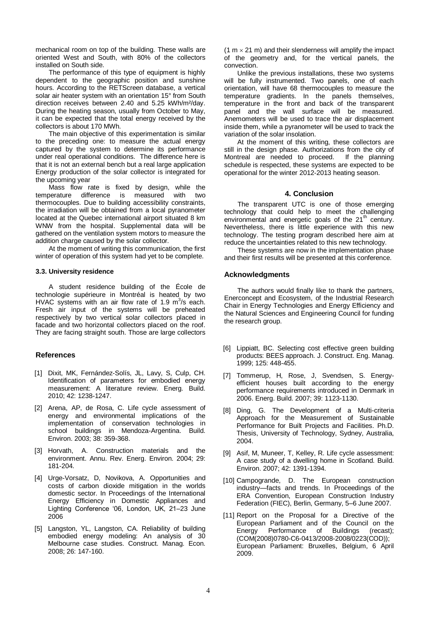mechanical room on top of the building. These walls are oriented West and South, with 80% of the collectors installed on South side.

The performance of this type of equipment is highly dependent to the geographic position and sunshine hours. According to the RETScreen database, a vertical solar air heater system with an orientation 15° from South direction receives between 2.40 and 5.25 kWh/m²/day. During the heating season, usually from October to May, it can be expected that the total energy received by the collectors is about 170 MWh.

The main objective of this experimentation is similar to the preceding one: to measure the actual energy captured by the system to determine its performance under real operational conditions. The difference here is that it is not an external bench but a real large application Energy production of the solar collector is integrated for the upcoming year

Mass flow rate is fixed by design, while the temperature difference is measured with two thermocouples. Due to building accessibility constraints, the irradiation will be obtained from a local pyranometer located at the Quebec international airport situated 8 km WNW from the hospital. Supplemental data will be gathered on the ventilation system motors to measure the addition charge caused by the solar collector.

At the moment of writing this communication, the first winter of operation of this system had yet to be complete.

#### **3.3. University residence**

A student residence building of the École de technologie supérieure in Montréal is heated by two HVAC systems with an air flow rate of 1.9  $m^3/s$  each. Fresh air input of the systems will be preheated respectively by two vertical solar collectors placed in facade and two horizontal collectors placed on the roof. They are facing straight south. Those are large collectors

## **References**

- [1] Dixit, MK, Fernández-Solís, JL, Lavy, S, Culp, CH. Identification of parameters for embodied energy measurement: A literature review. Energ. Build. 2010; 42: 1238-1247.
- [2] Arena, AP, de Rosa, C. Life cycle assessment of energy and environmental implications of the implementation of conservation technologies in school buildings in Mendoza-Argentina. Build. Environ. 2003; 38: 359-368.
- [3] Horvath, A. Construction materials and the environment. Annu. Rev. Energ. Environ. 2004; 29: 181-204.
- [4] Urge-Vorsatz, D, Novikova, A. Opportunities and costs of carbon dioxide mitigation in the worlds domestic sector. In Proceedings of the International Energy Efficiency in Domestic Appliances and Lighting Conference '06, London, UK, 21–23 June 2006
- [5] Langston, YL, Langston, CA. Reliability of building embodied energy modeling: An analysis of 30 Melbourne case studies. Construct. Manag. Econ. 2008; 26: 147-160.

 $(1 m \times 21 m)$  and their slenderness will amplify the impact of the geometry and, for the vertical panels, the convection.

Unlike the previous installations, these two systems will be fully instrumented. Two panels, one of each orientation, will have 68 thermocouples to measure the temperature gradients. In the panels themselves, temperature in the front and back of the transparent panel and the wall surface will be measured. Anemometers will be used to trace the air displacement inside them, while a pyranometer will be used to track the variation of the solar insolation.

At the moment of this writing, these collectors are still in the design phase. Authorizations from the city of Montreal are needed to proceed. If the planning schedule is respected, these systems are expected to be operational for the winter 2012-2013 heating season.

#### **4. Conclusion**

The transparent UTC is one of those emerging technology that could help to meet the challenging environmental and energetic goals of the  $21<sup>th</sup>$  century. Nevertheless, there is little experience with this new technology. The testing program described here aim at reduce the uncertainties related to this new technology.

These systems are now in the implementation phase and their first results will be presented at this conference.

#### **Acknowledgments**

The authors would finally like to thank the partners, Enerconcept and Ecosystem, of the Industrial Research Chair in Energy Technologies and Energy Efficiency and the Natural Sciences and Engineering Council for funding the research group.

- [6] Lippiatt, BC. Selecting cost effective green building products: BEES approach. J. Construct. Eng. Manag. 1999; 125: 448-455.
- [7] Tommerup, H, Rose, J, Svendsen, S. Energyefficient houses built according to the energy performance requirements introduced in Denmark in 2006. Energ. Build. 2007; 39: 1123-1130.
- [8] Ding, G. The Development of a Multi-criteria Approach for the Measurement of Sustainable Performance for Built Projects and Facilities. Ph.D. Thesis, University of Technology, Sydney, Australia, 2004.
- [9] Asif, M, Muneer, T, Kelley, R. Life cycle assessment: A case study of a dwelling home in Scotland. Build. Environ. 2007; 42: 1391-1394.
- [10] Campogrande, D. The European construction industry—facts and trends. In Proceedings of the ERA Convention, European Construction Industry Federation (FIEC), Berlin, Germany, 5–6 June 2007.
- [11] Report on the Proposal for a Directive of the European Parliament and of the Council on the<br>Energy Performance of Buildings (recast): Energy Performance of Buildings (recast); (COM(2008)0780-C6-0413/2008-2008/0223(COD)); European Parliament: Bruxelles, Belgium, 6 April 2009.